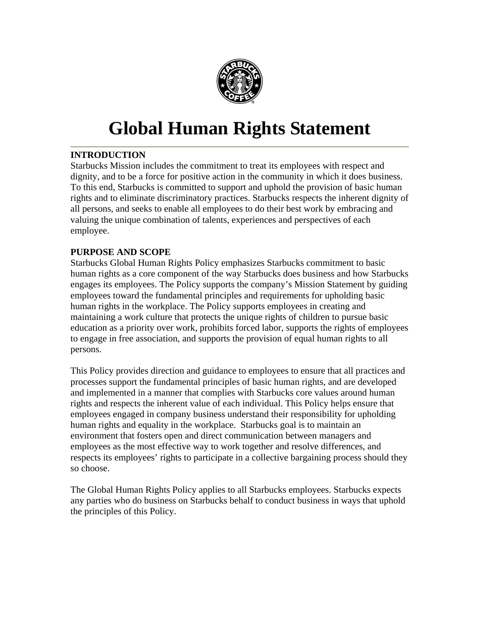

# **Global Human Rights Statement**

# **INTRODUCTION**

Starbucks Mission includes the commitment to treat its employees with respect and dignity, and to be a force for positive action in the community in which it does business. To this end, Starbucks is committed to support and uphold the provision of basic human rights and to eliminate discriminatory practices. Starbucks respects the inherent dignity of all persons, and seeks to enable all employees to do their best work by embracing and valuing the unique combination of talents, experiences and perspectives of each employee.

# **PURPOSE AND SCOPE**

Starbucks Global Human Rights Policy emphasizes Starbucks commitment to basic human rights as a core component of the way Starbucks does business and how Starbucks engages its employees. The Policy supports the company's Mission Statement by guiding employees toward the fundamental principles and requirements for upholding basic human rights in the workplace. The Policy supports employees in creating and maintaining a work culture that protects the unique rights of children to pursue basic education as a priority over work, prohibits forced labor, supports the rights of employees to engage in free association, and supports the provision of equal human rights to all persons.

This Policy provides direction and guidance to employees to ensure that all practices and processes support the fundamental principles of basic human rights, and are developed and implemented in a manner that complies with Starbucks core values around human rights and respects the inherent value of each individual. This Policy helps ensure that employees engaged in company business understand their responsibility for upholding human rights and equality in the workplace. Starbucks goal is to maintain an environment that fosters open and direct communication between managers and employees as the most effective way to work together and resolve differences, and respects its employees' rights to participate in a collective bargaining process should they so choose.

The Global Human Rights Policy applies to all Starbucks employees. Starbucks expects any parties who do business on Starbucks behalf to conduct business in ways that uphold the principles of this Policy.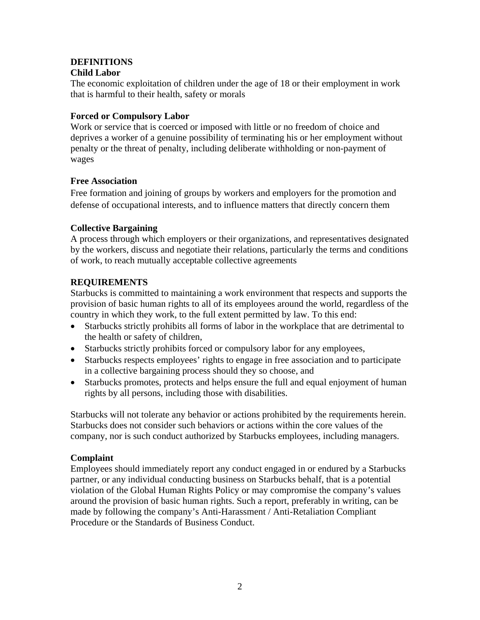#### **DEFINITIONS Child Labor**

The economic exploitation of children under the age of 18 or their employment in work that is harmful to their health, safety or morals

## **Forced or Compulsory Labor**

Work or service that is coerced or imposed with little or no freedom of choice and deprives a worker of a genuine possibility of terminating his or her employment without penalty or the threat of penalty, including deliberate withholding or non-payment of wages

## **Free Association**

Free formation and joining of groups by workers and employers for the promotion and defense of occupational interests, and to influence matters that directly concern them

# **Collective Bargaining**

A process through which employers or their organizations, and representatives designated by the workers, discuss and negotiate their relations, particularly the terms and conditions of work, to reach mutually acceptable collective agreements

## **REQUIREMENTS**

Starbucks is committed to maintaining a work environment that respects and supports the provision of basic human rights to all of its employees around the world, regardless of the country in which they work, to the full extent permitted by law. To this end:

- Starbucks strictly prohibits all forms of labor in the workplace that are detrimental to the health or safety of children,
- Starbucks strictly prohibits forced or compulsory labor for any employees,
- Starbucks respects employees' rights to engage in free association and to participate in a collective bargaining process should they so choose, and
- Starbucks promotes, protects and helps ensure the full and equal enjoyment of human rights by all persons, including those with disabilities.

Starbucks will not tolerate any behavior or actions prohibited by the requirements herein. Starbucks does not consider such behaviors or actions within the core values of the company, nor is such conduct authorized by Starbucks employees, including managers.

#### **Complaint**

Employees should immediately report any conduct engaged in or endured by a Starbucks partner, or any individual conducting business on Starbucks behalf, that is a potential violation of the Global Human Rights Policy or may compromise the company's values around the provision of basic human rights. Such a report, preferably in writing, can be made by following the company's Anti-Harassment / Anti-Retaliation Compliant Procedure or the Standards of Business Conduct.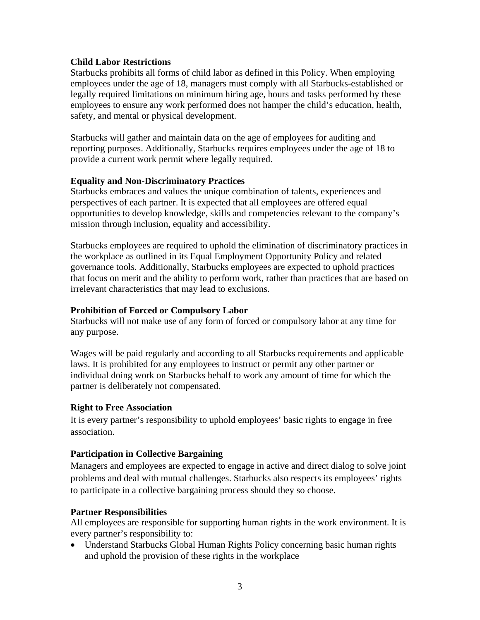#### **Child Labor Restrictions**

Starbucks prohibits all forms of child labor as defined in this Policy. When employing employees under the age of 18, managers must comply with all Starbucks-established or legally required limitations on minimum hiring age, hours and tasks performed by these employees to ensure any work performed does not hamper the child's education, health, safety, and mental or physical development.

Starbucks will gather and maintain data on the age of employees for auditing and reporting purposes. Additionally, Starbucks requires employees under the age of 18 to provide a current work permit where legally required.

#### **Equality and Non-Discriminatory Practices**

Starbucks embraces and values the unique combination of talents, experiences and perspectives of each partner. It is expected that all employees are offered equal opportunities to develop knowledge, skills and competencies relevant to the company's mission through inclusion, equality and accessibility.

Starbucks employees are required to uphold the elimination of discriminatory practices in the workplace as outlined in its Equal Employment Opportunity Policy and related governance tools. Additionally, Starbucks employees are expected to uphold practices that focus on merit and the ability to perform work, rather than practices that are based on irrelevant characteristics that may lead to exclusions.

#### **Prohibition of Forced or Compulsory Labor**

Starbucks will not make use of any form of forced or compulsory labor at any time for any purpose.

Wages will be paid regularly and according to all Starbucks requirements and applicable laws. It is prohibited for any employees to instruct or permit any other partner or individual doing work on Starbucks behalf to work any amount of time for which the partner is deliberately not compensated.

#### **Right to Free Association**

It is every partner's responsibility to uphold employees' basic rights to engage in free association.

#### **Participation in Collective Bargaining**

Managers and employees are expected to engage in active and direct dialog to solve joint problems and deal with mutual challenges. Starbucks also respects its employees' rights to participate in a collective bargaining process should they so choose.

#### **Partner Responsibilities**

All employees are responsible for supporting human rights in the work environment. It is every partner's responsibility to:

• Understand Starbucks Global Human Rights Policy concerning basic human rights and uphold the provision of these rights in the workplace